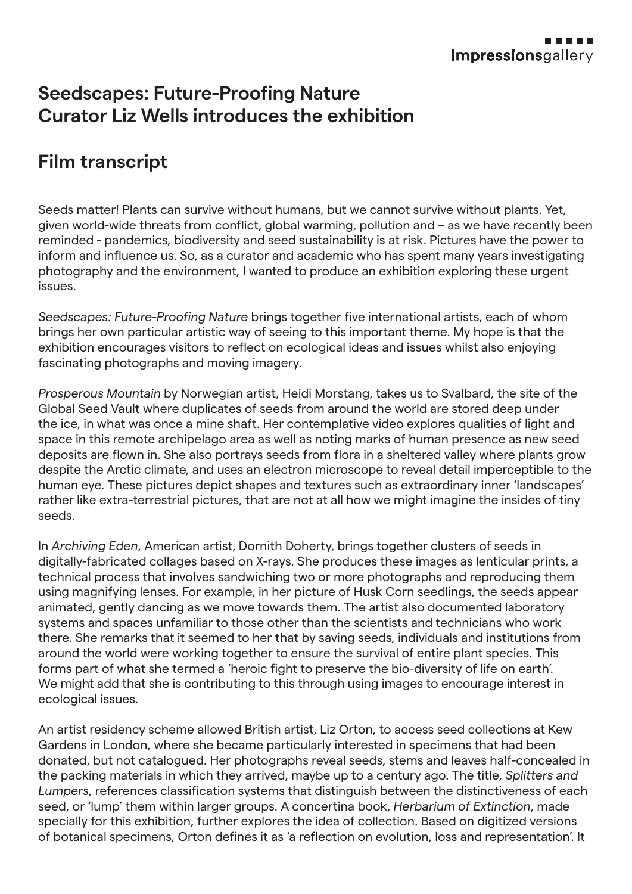## **Seedscapes: Future-Proofing Nature Curator Liz Wells introduces the exhibition**

## **Film transcript**

Seeds matter! Plants can survive without humans, but we cannot survive without plants. Yet, given world-wide threats from conflict, global warming, pollution and – as we have recently been reminded - pandemics, biodiversity and seed sustainability is at risk. Pictures have the power to inform and influence us. So, as a curator and academic who has spent many years investigating photography and the environment, I wanted to produce an exhibition exploring these urgent issues.

*Seedscapes: Future-Proofing Nature* brings together five international artists, each of whom brings her own particular artistic way of seeing to this important theme. My hope is that the exhibition encourages visitors to reflect on ecological ideas and issues whilst also enjoying fascinating photographs and moving imagery.

*Prosperous Mountain* by Norwegian artist, Heidi Morstang, takes us to Svalbard, the site of the Global Seed Vault where duplicates of seeds from around the world are stored deep under the ice, in what was once a mine shaft. Her contemplative video explores qualities of light and space in this remote archipelago area as well as noting marks of human presence as new seed deposits are flown in. She also portrays seeds from flora in a sheltered valley where plants grow despite the Arctic climate, and uses an electron microscope to reveal detail imperceptible to the human eye. These pictures depict shapes and textures such as extraordinary inner 'landscapes' rather like extra-terrestrial pictures, that are not at all how we might imagine the insides of tiny seeds.

In *Archiving Eden*, American artist, Dornith Doherty, brings together clusters of seeds in digitally-fabricated collages based on X-rays. She produces these images as lenticular prints, a technical process that involves sandwiching two or more photographs and reproducing them using magnifying lenses. For example, in her picture of Husk Corn seedlings, the seeds appear animated, gently dancing as we move towards them. The artist also documented laboratory systems and spaces unfamiliar to those other than the scientists and technicians who work there. She remarks that it seemed to her that by saving seeds, individuals and institutions from around the world were working together to ensure the survival of entire plant species. This forms part of what she termed a 'heroic fight to preserve the bio-diversity of life on earth'. We might add that she is contributing to this through using images to encourage interest in ecological issues.

An artist residency scheme allowed British artist, Liz Orton, to access seed collections at Kew Gardens in London, where she became particularly interested in specimens that had been donated, but not catalogued. Her photographs reveal seeds, stems and leaves half-concealed in the packing materials in which they arrived, maybe up to a century ago. The title, *Splitters and Lumpers*, references classification systems that distinguish between the distinctiveness of each seed, or 'lump' them within larger groups. A concertina book, *Herbarium of Extinction*, made specially for this exhibition, further explores the idea of collection. Based on digitized versions of botanical specimens, Orton defines it as 'a reflection on evolution, loss and representation'. It